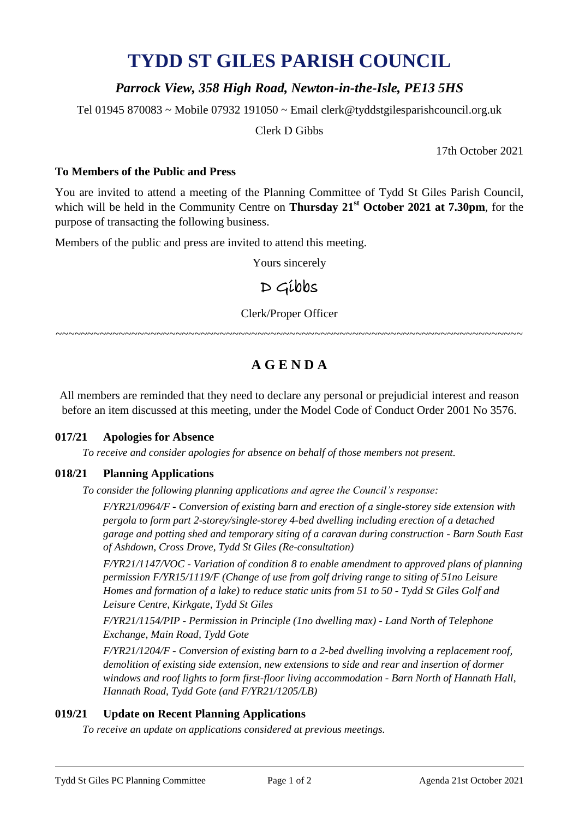# **TYDD ST GILES PARISH COUNCIL**

## *Parrock View, 358 High Road, Newton-in-the-Isle, PE13 5HS*

Tel 01945 870083 ~ Mobile 07932 191050 ~ Email clerk@tyddstgilesparishcouncil.org.uk

Clerk D Gibbs

17th October 2021

### **To Members of the Public and Press**

You are invited to attend a meeting of the Planning Committee of Tydd St Giles Parish Council, which will be held in the Community Centre on **Thursday 21 st October 2021 at 7.30pm**, for the purpose of transacting the following business.

Members of the public and press are invited to attend this meeting.

Yours sincerely

# D Gibbs

Clerk/Proper Officer

~~~~~~~~~~~~~~~~~~~~~~~~~~~~~~~~~~~~

# **A G E N D A**

All members are reminded that they need to declare any personal or prejudicial interest and reason before an item discussed at this meeting, under the Model Code of Conduct Order 2001 No 3576.

### **017/21 Apologies for Absence**

*To receive and consider apologies for absence on behalf of those members not present.*

### **018/21 Planning Applications**

*To consider the following planning applications and agree the Council's response:*

*F/YR21/0964/F - Conversion of existing barn and erection of a single-storey side extension with pergola to form part 2-storey/single-storey 4-bed dwelling including erection of a detached garage and potting shed and temporary siting of a caravan during construction - Barn South East of Ashdown, Cross Drove, Tydd St Giles (Re-consultation)*

*F/YR21/1147/VOC - Variation of condition 8 to enable amendment to approved plans of planning permission F/YR15/1119/F (Change of use from golf driving range to siting of 51no Leisure Homes and formation of a lake) to reduce static units from 51 to 50 - Tydd St Giles Golf and Leisure Centre, Kirkgate, Tydd St Giles*

*F/YR21/1154/PIP - Permission in Principle (1no dwelling max) - Land North of Telephone Exchange, Main Road, Tydd Gote*

*F/YR21/1204/F - Conversion of existing barn to a 2-bed dwelling involving a replacement roof, demolition of existing side extension, new extensions to side and rear and insertion of dormer windows and roof lights to form first-floor living accommodation - Barn North of Hannath Hall, Hannath Road, Tydd Gote (and F/YR21/1205/LB)*

### **019/21 Update on Recent Planning Applications**

*To receive an update on applications considered at previous meetings.*